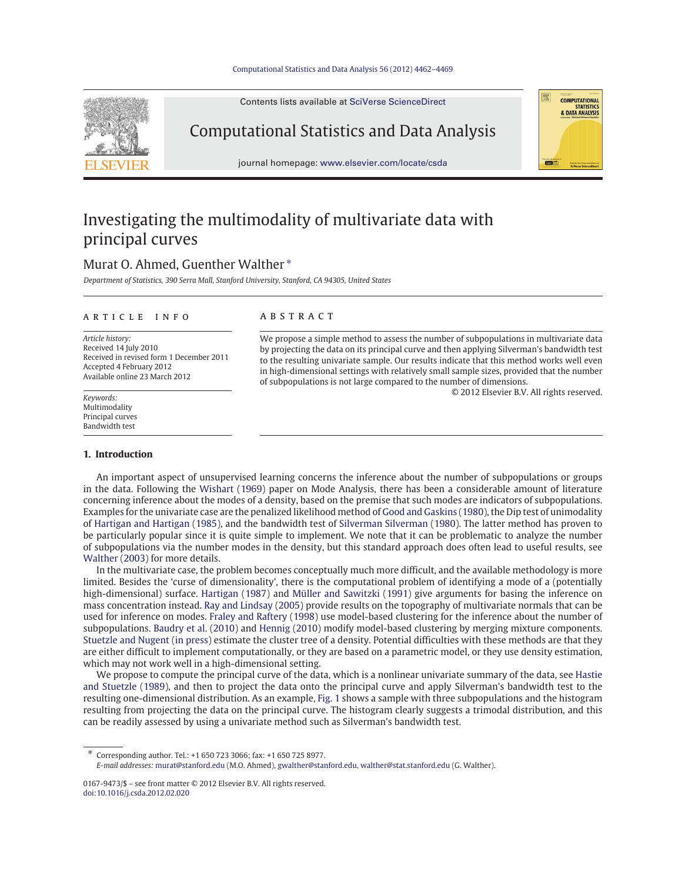#### Computational Statistics and Data Analysis 56 (2012) 4462–4469

Contents lists available at SciVerse ScienceDirect



Computational Statistics and Data Analysis

journal homepage: www.elsevier.com/locate/csda

# Investigating the multimodality of multivariate data with principal curves

# Murat O. Ahmed, Guenther Walther<sup>\*</sup>

*Department of Statistics, 390 Serra Mall, Stanford University, Stanford, CA 94305, United States*

#### article info

*Article history:* Received 14 July 2010 Received in revised form 1 December 2011 Accepted 4 February 2012 Available online 23 March 2012

*Keywords:* Multimodality Principal curves Bandwidth test

### **ABSTRACT**

We propose a simple method to assess the number of subpopulations in multivariate data by projecting the data on its principal curve and then applying Silverman's bandwidth test to the resulting univariate sample. Our results indicate that this method works well even in high-dimensional settings with relatively small sample sizes, provided that the number of subpopulations is not large compared to the number of dimensions.

© 2012 Elsevier B.V. All rights reserved.

**COMPUTATIONAL** STATISTICS<br>8. DATA ANALYSIS

# **1. Introduction**

An important aspect of unsupervised learning concerns the inference about the number of subpopulations or groups in the data. Following the Wishart (1969) paper on Mode Analysis, there has been a considerable amount of literature concerning inference about the modes of a density, based on the premise that such modes are indicators of subpopulations. Examples for the univariate case are the penalized likelihood method of Good and Gaskins (1980), the Dip test of unimodality of Hartigan and Hartigan (1985), and the bandwidth test of Silverman Silverman (1980). The latter method has proven to be particularly popular since it is quite simple to implement. We note that it can be problematic to analyze the number of subpopulations via the number modes in the density, but this standard approach does often lead to useful results, see Walther (2003) for more details.

In the multivariate case, the problem becomes conceptually much more difficult, and the available methodology is more limited. Besides the 'curse of dimensionality', there is the computational problem of identifying a mode of a (potentially high-dimensional) surface. Hartigan (1987) and Müller and Sawitzki (1991) give arguments for basing the inference on mass concentration instead. Ray and Lindsay (2005) provide results on the topography of multivariate normals that can be used for inference on modes. Fraley and Raftery (1998) use model-based clustering for the inference about the number of subpopulations. Baudry et al. (2010) and Hennig (2010) modify model-based clustering by merging mixture components. Stuetzle and Nugent (in press) estimate the cluster tree of a density. Potential difficulties with these methods are that they are either difficult to implement computationally, or they are based on a parametric model, or they use density estimation, which may not work well in a high-dimensional setting.

We propose to compute the principal curve of the data, which is a nonlinear univariate summary of the data, see Hastie and Stuetzle (1989), and then to project the data onto the principal curve and apply Silverman's bandwidth test to the resulting one-dimensional distribution. As an example, Fig. 1 shows a sample with three subpopulations and the histogram resulting from projecting the data on the principal curve. The histogram clearly suggests a trimodal distribution, and this can be readily assessed by using a univariate method such as Silverman's bandwidth test.

<sup>∗</sup> Corresponding author. Tel.: +1 650 723 3066; fax: +1 650 725 8977. *E-mail addresses:* murat@stanford.edu (M.O. Ahmed), gwalther@stanford.edu, walther@stat.stanford.edu (G. Walther).

<sup>0167-9473/\$ –</sup> see front matter © 2012 Elsevier B.V. All rights reserved. doi:10.1016/j.csda.2012.02.020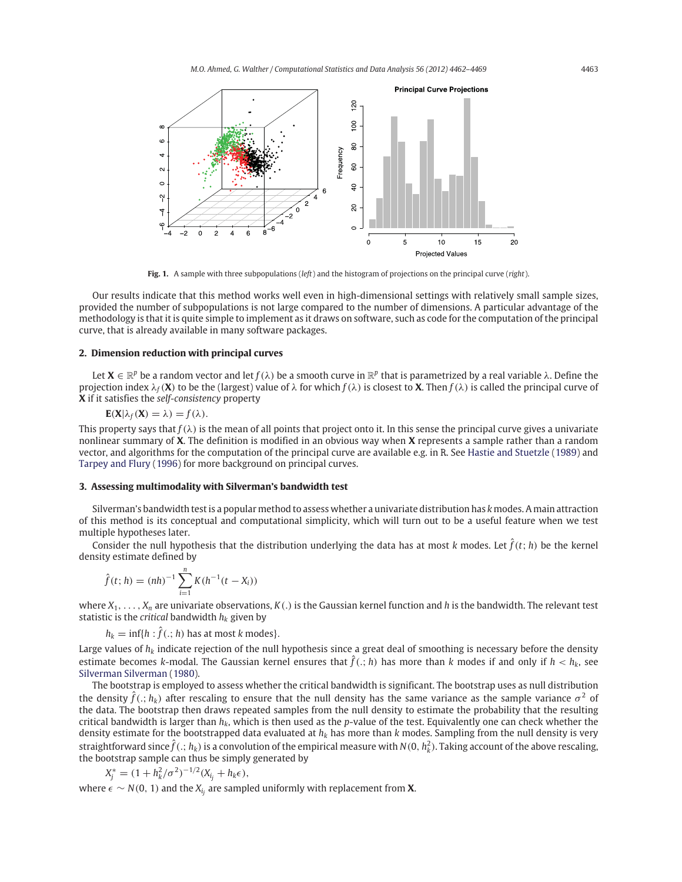

**Fig. 1.** A sample with three subpopulations (*left*) and the histogram of projections on the principal curve (*right*).

Our results indicate that this method works well even in high-dimensional settings with relatively small sample sizes, provided the number of subpopulations is not large compared to the number of dimensions. A particular advantage of the methodology is that it is quite simple to implement as it draws on software, such as code for the computation of the principal curve, that is already available in many software packages.

# **2. Dimension reduction with principal curves**

Let  $X \in \mathbb{R}^p$  be a random vector and let  $f(\lambda)$  be a smooth curve in  $\mathbb{R}^p$  that is parametrized by a real variable  $\lambda$ . Define the projection index  $\lambda_f(\mathbf{X})$  to be the (largest) value of  $\lambda$  for which  $f(\lambda)$  is closest to **X**. Then  $f(\lambda)$  is called the principal curve of **X** if it satisfies the *self-consistency* property

$$
\mathbf{E}(\mathbf{X}|\lambda_f(\mathbf{X})=\lambda)=f(\lambda).
$$

This property says that  $f(\lambda)$  is the mean of all points that project onto it. In this sense the principal curve gives a univariate nonlinear summary of **X**. The definition is modified in an obvious way when **X** represents a sample rather than a random vector, and algorithms for the computation of the principal curve are available e.g. in R. See Hastie and Stuetzle (1989) and Tarpey and Flury (1996) for more background on principal curves.

### **3. Assessing multimodality with Silverman's bandwidth test**

Silverman's bandwidth test is a popular method to assess whether a univariate distribution has *k* modes. A main attraction of this method is its conceptual and computational simplicity, which will turn out to be a useful feature when we test multiple hypotheses later.

Consider the null hypothesis that the distribution underlying the data has at most *k* modes. Let  $\hat{f}(t; h)$  be the kernel density estimate defined by

$$
\hat{f}(t; h) = (nh)^{-1} \sum_{i=1}^{n} K(h^{-1}(t - X_i))
$$

where  $X_1, \ldots, X_n$  are univariate observations,  $K(.)$  is the Gaussian kernel function and *h* is the bandwidth. The relevant test statistic is the *critical* bandwidth  $h_k$  given by

 $h_k = \inf\{h : \hat{f}(.; h)$  has at most *k* modes}.

Large values of  $h_k$  indicate rejection of the null hypothesis since a great deal of smoothing is necessary before the density estimate becomes *k*-modal. The Gaussian kernel ensures that  $\hat{f}(.; h)$  has more than *k* modes if and only if  $h < h_k$ , see Silverman Silverman (1980).

The bootstrap is employed to assess whether the critical bandwidth is significant. The bootstrap uses as null distribution the density  $\hat{f}(t; h_k)$  after rescaling to ensure that the null density has the same variance as the sample variance  $\sigma^2$  of the data. The bootstrap then draws repeated samples from the null density to estimate the probability that the resulting critical bandwidth is larger than *hk*, which is then used as the *p*-value of the test. Equivalently one can check whether the density estimate for the bootstrapped data evaluated at *hk* has more than *k* modes. Sampling from the null density is very straightforward since  $\hat{f}$  ( $\ldots$   $h_k$ ) is a convolution of the empirical measure with  $N(0, h_k^2)$ . Taking account of the above rescaling, the bootstrap sample can thus be simply generated by

$$
X_j^* = (1 + h_k^2/\sigma^2)^{-1/2} (X_{i_j} + h_k \epsilon),
$$

where  $\epsilon$  ∼ *N*(0, 1) and the *X<sub>i<sub>i</sub>*</sub> are sampled uniformly with replacement from **X**.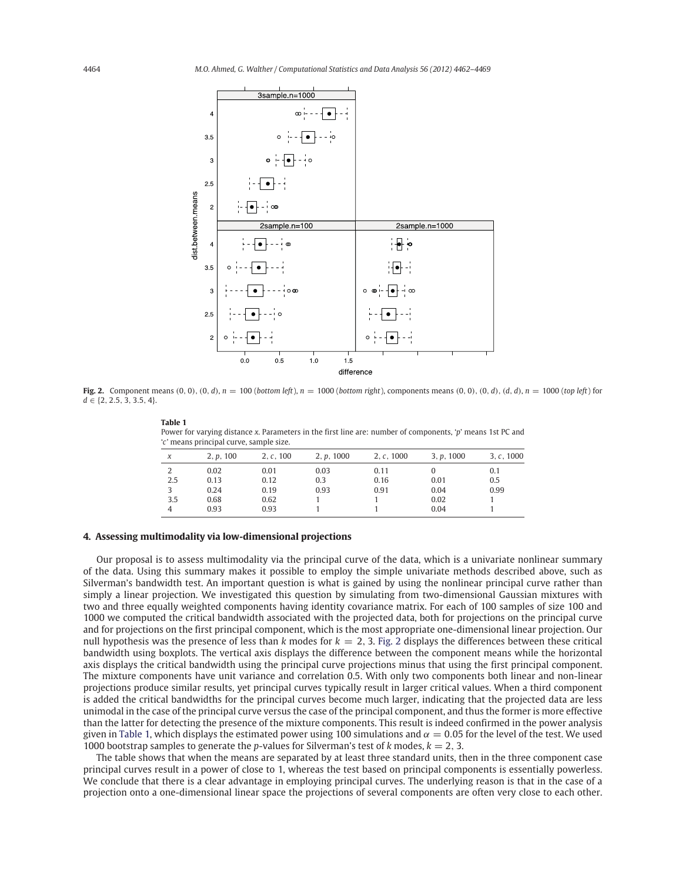

Fig. 2. Component means  $(0, 0)$ ,  $(0, d)$ ,  $n = 100$  (bottom left),  $n = 1000$  (bottom right), components means  $(0, 0)$ ,  $(0, d)$ ,  $(d, d)$ ,  $n = 1000$  (top left) for *d* ∈ {2, 2.5, 3, 3.5, 4}.

| Table 1                                                                                                    |
|------------------------------------------------------------------------------------------------------------|
| Power for varying distance x. Parameters in the first line are: number of components, 'p' means 1st PC and |
| 'c' means principal curve, sample size.                                                                    |

| $\chi$ | 2, p, 100 | 2, c, 100 | 2, p, 1000 | 2, c, 1000 | 3, p, 1000 | 3, c, 1000 |
|--------|-----------|-----------|------------|------------|------------|------------|
|        | 0.02      | 0.01      | 0.03       | 0.11       |            | 0.1        |
| 2.5    | 0.13      | 0.12      | 0.3        | 0.16       | 0.01       | 0.5        |
|        | 0.24      | 0.19      | 0.93       | 0.91       | 0.04       | 0.99       |
| 3.5    | 0.68      | 0.62      |            |            | 0.02       |            |
|        | 0.93      | 0.93      |            |            | 0.04       |            |
|        |           |           |            |            |            |            |

# **4. Assessing multimodality via low-dimensional projections**

**Table 1**

Our proposal is to assess multimodality via the principal curve of the data, which is a univariate nonlinear summary of the data. Using this summary makes it possible to employ the simple univariate methods described above, such as Silverman's bandwidth test. An important question is what is gained by using the nonlinear principal curve rather than simply a linear projection. We investigated this question by simulating from two-dimensional Gaussian mixtures with two and three equally weighted components having identity covariance matrix. For each of 100 samples of size 100 and 1000 we computed the critical bandwidth associated with the projected data, both for projections on the principal curve and for projections on the first principal component, which is the most appropriate one-dimensional linear projection. Our null hypothesis was the presence of less than *<sup>k</sup>* modes for *<sup>k</sup>* = <sup>2</sup>, 3. Fig. 2 displays the differences between these critical bandwidth using boxplots. The vertical axis displays the difference between the component means while the horizontal axis displays the critical bandwidth using the principal curve projections minus that using the first principal component. The mixture components have unit variance and correlation 0.5. With only two components both linear and non-linear projections produce similar results, yet principal curves typically result in larger critical values. When a third component is added the critical bandwidths for the principal curves become much larger, indicating that the projected data are less unimodal in the case of the principal curve versus the case of the principal component, and thus the former is more effective than the latter for detecting the presence of the mixture components. This result is indeed confirmed in the power analysis given in Table 1, which displays the estimated power using 100 simulations and  $\alpha = 0.05$  for the level of the test. We used 1000 bootstrap samples to generate the *<sup>p</sup>*-values for Silverman's test of *<sup>k</sup>* modes, *<sup>k</sup>* = <sup>2</sup>, 3.

The table shows that when the means are separated by at least three standard units, then in the three component case principal curves result in a power of close to 1, whereas the test based on principal components is essentially powerless. We conclude that there is a clear advantage in employing principal curves. The underlying reason is that in the case of a projection onto a one-dimensional linear space the projections of several components are often very close to each other.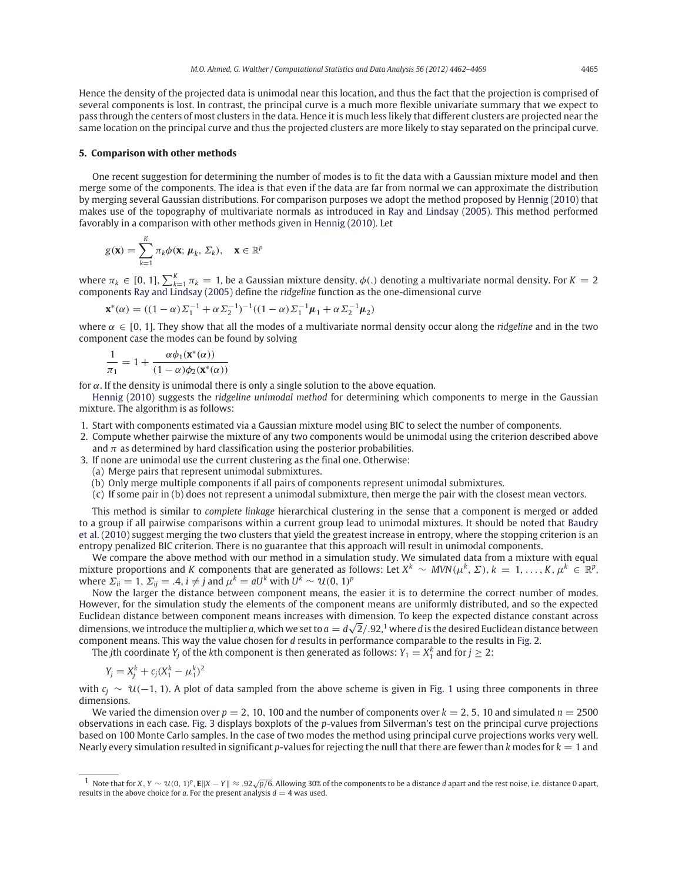Hence the density of the projected data is unimodal near this location, and thus the fact that the projection is comprised of several components is lost. In contrast, the principal curve is a much more flexible univariate summary that we expect to pass through the centers of most clusters in the data. Hence it is much less likely that different clusters are projected near the same location on the principal curve and thus the projected clusters are more likely to stay separated on the principal curve.

#### **5. Comparison with other methods**

One recent suggestion for determining the number of modes is to fit the data with a Gaussian mixture model and then merge some of the components. The idea is that even if the data are far from normal we can approximate the distribution by merging several Gaussian distributions. For comparison purposes we adopt the method proposed by Hennig (2010) that makes use of the topography of multivariate normals as introduced in Ray and Lindsay (2005). This method performed favorably in a comparison with other methods given in Hennig (2010). Let

$$
g(\mathbf{x}) = \sum_{k=1}^K \pi_k \phi(\mathbf{x}; \boldsymbol{\mu}_k, \boldsymbol{\Sigma}_k), \quad \mathbf{x} \in \mathbb{R}^p
$$

where  $\pi_k \in [0, 1]$ ,  $\sum_{k=1}^K \pi_k = 1$ , be a Gaussian mixture density,  $\phi(.)$  denoting a multivariate normal density. For  $K = 2$  components Ray and Lindsay (2005) define the *ridgeline* function as the one-dimensional curv

$$
\mathbf{x}^*(\alpha) = ((1 - \alpha)\Sigma_1^{-1} + \alpha \Sigma_2^{-1})^{-1}((1 - \alpha)\Sigma_1^{-1}\mu_1 + \alpha \Sigma_2^{-1}\mu_2)
$$

where  $\alpha \in [0, 1]$ . They show that all the modes of a multivariate normal density occur along the *ridgeline* and in the two component case the modes can be found by solving

$$
\frac{1}{\pi_1} = 1 + \frac{\alpha \phi_1(\mathbf{x}^*(\alpha))}{(1 - \alpha)\phi_2(\mathbf{x}^*(\alpha))}
$$

for  $\alpha$ . If the density is unimodal there is only a single solution to the above equation.

Hennig (2010) suggests the *ridgeline unimodal method* for determining which components to merge in the Gaussian mixture. The algorithm is as follows:

- 1. Start with components estimated via a Gaussian mixture model using BIC to select the number of components.
- 2. Compute whether pairwise the mixture of any two components would be unimodal using the criterion described above and  $\pi$  as determined by hard classification using the posterior probabilities.
- 3. If none are unimodal use the current clustering as the final one. Otherwise:
	- (a) Merge pairs that represent unimodal submixtures.
	- (b) Only merge multiple components if all pairs of components represent unimodal submixtures.
	- (c) If some pair in (b) does not represent a unimodal submixture, then merge the pair with the closest mean vectors.

This method is similar to *complete linkage* hierarchical clustering in the sense that a component is merged or added to a group if all pairwise comparisons within a current group lead to unimodal mixtures. It should be noted that Baudry et al. (2010) suggest merging the two clusters that yield the greatest increase in entropy, where the stopping criterion is an entropy penalized BIC criterion. There is no guarantee that this approach will result in unimodal components.

We compare the above method with our method in a simulation study. We simulated data from a mixture with equal mixture proportions and *K* components that are generated as follows: Let  $X^k \sim MVN(\mu^k, \Sigma)$ ,  $k = 1, ..., K$ ,  $\mu^k \in \mathbb{R}^p$ , where  $\Sigma_{ii} = 1$ ,  $\Sigma_{ij} = .4$ ,  $i \neq j$  and  $\mu^k = aU^k$  with  $U^k \sim \mathcal{U}(0, 1)^p$ 

Now the larger the distance between component means, the easier it is to determine the correct number of modes. However, for the simulation study the elements of the component means are uniformly distributed, and so the expected Euclidean distance between component means increases with dimension. To keep the expected distance constant across dimensions, we introduce the multiplier *a*, which we set to  $a = d\sqrt{2}/.92$ ,<sup>1</sup> where *d* is the desired Euclidean distance between component means. This way the value chosen for *d* results in performance comparable to the results in Fig. 2.

The *j*th coordinate *Y<sub>j</sub>* of the *k*th component is then generated as follows: *Y*<sub>1</sub> = *X*<sup>*k*</sup><sub>1</sub> and for *j*  $\geq$  2:

$$
Y_j = X_j^k + c_j (X_1^k - \mu_1^k)^2
$$

with  $c_i \sim \mathcal{U}(-1, 1)$ . A plot of data sampled from the above scheme is given in Fig. 1 using three components in three dimensions.

We varied the dimension over  $p = 2$ , 10, 100 and the number of components over  $k = 2, 5, 10$  and simulated  $n = 2500$ observations in each case. Fig. 3 displays boxplots of the *p*-values from Silverman's test on the principal curve projections based on 100 Monte Carlo samples. In the case of two modes the method using principal curve projections works very well. Nearly every simulation resulted in significant *p*-values for rejecting the null that there are fewer than  $k$  modes for  $k = 1$  and

<sup>1</sup> Note that for *<sup>X</sup>*, *<sup>Y</sup>* <sup>∼</sup> <sup>U</sup>(0, <sup>1</sup>)*<sup>p</sup>*, **<sup>E</sup>***<sup>X</sup>* <sup>−</sup> *<sup>Y</sup>* ≈ .92√*p*/6. Allowing 30% of the components to be a distance *<sup>d</sup>* apart and the rest noise, i.e. distance 0 apart, results in the above choice for *a*. For the present analysis  $d = 4$  was used.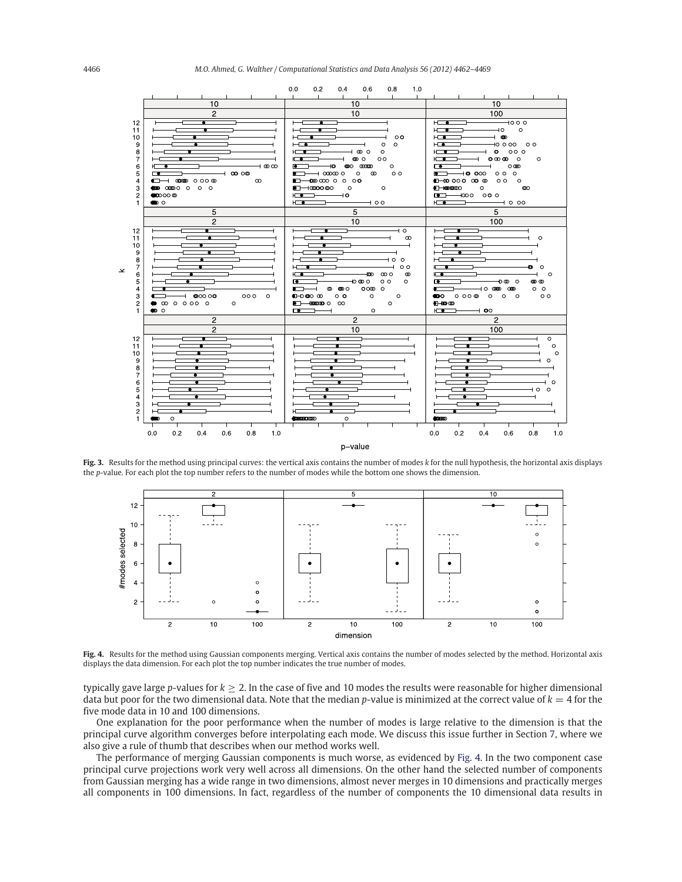4466 *M.O. Ahmed, G. Walther / Computational Statistics and Data Analysis 56 (2012) 4462–4469*



**Fig. 3.** Results for the method using principal curves: the vertical axis contains the number of modes *k* for the null hypothesis, the horizontal axis displays the *p*-value. For each plot the top number refers to the number of modes while the bottom one shows the dimension.



**Fig. 4.** Results for the method using Gaussian components merging. Vertical axis contains the number of modes selected by the method. Horizontal axis displays the data dimension. For each plot the top number indicates the true number of modes.

typically gave large *p*-values for  $k \geq 2$ . In the case of five and 10 modes the results were reasonable for higher dimensional data but poor for the two dimensional data. Note that the median *p*-value is minimized at the correct value of  $k = 4$  for the five mode data in 10 and 100 dimensions.

One explanation for the poor performance when the number of modes is large relative to the dimension is that the principal curve algorithm converges before interpolating each mode. We discuss this issue further in Section 7, where we also give a rule of thumb that describes when our method works well.

The performance of merging Gaussian components is much worse, as evidenced by Fig. 4. In the two component case principal curve projections work very well across all dimensions. On the other hand the selected number of components from Gaussian merging has a wide range in two dimensions, almost never merges in 10 dimensions and practically merges all components in 100 dimensions. In fact, regardless of the number of components the 10 dimensional data results in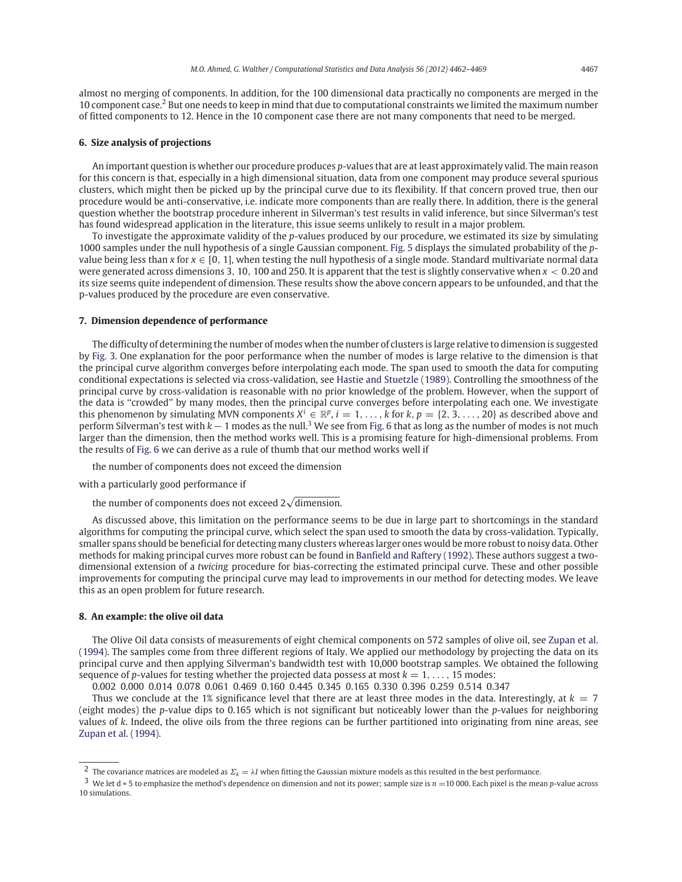almost no merging of components. In addition, for the 100 dimensional data practically no components are merged in the 10 component case.<sup>2</sup> But one needs to keep in mind that due to computational constraints we limited the maximum number of fitted components to 12. Hence in the 10 component case there are not many components that need to be merged.

#### **6. Size analysis of projections**

An important question is whether our procedure produces *p*-values that are at least approximately valid. The main reason for this concern is that, especially in a high dimensional situation, data from one component may produce several spurious clusters, which might then be picked up by the principal curve due to its flexibility. If that concern proved true, then our procedure would be anti-conservative, i.e. indicate more components than are really there. In addition, there is the general question whether the bootstrap procedure inherent in Silverman's test results in valid inference, but since Silverman's test has found widespread application in the literature, this issue seems unlikely to result in a major problem.

To investigate the approximate validity of the *p*-values produced by our procedure, we estimated its size by simulating 1000 samples under the null hypothesis of a single Gaussian component. Fig. 5 displays the simulated probability of the *p*value being less than x for  $x \in [0, 1]$ , when testing the null hypothesis of a single mode. Standard multivariate normal data were generated across dimensions 3, 10, 100 and 250. It is apparent that the test is slightly conservative when  $x < 0.20$  and its size seems quite independent of dimension. These results show the above concern appears to be unfounded, and that the p-values produced by the procedure are even conservative.

#### **7. Dimension dependence of performance**

The difficulty of determining the number of modes when the number of clusters is large relative to dimension is suggested by Fig. 3. One explanation for the poor performance when the number of modes is large relative to the dimension is that the principal curve algorithm converges before interpolating each mode. The span used to smooth the data for computing conditional expectations is selected via cross-validation, see Hastie and Stuetzle (1989). Controlling the smoothness of the principal curve by cross-validation is reasonable with no prior knowledge of the problem. However, when the support of the data is ''crowded'' by many modes, then the principal curve converges before interpolating each one. We investigate this phenomenon by simulating MVN components  $X^i \in \mathbb{R}^p$ ,  $i = 1, \ldots, k$  for  $k, p = \{2, 3, \ldots, 20\}$  as described above and perform Silverman's test with *k* − 1 modes as the null.<sup>3</sup> We see from Fig. 6 that as long as the number of modes is not much larger than the dimension, then the method works well. This is a promising feature for high-dimensional problems. From the results of Fig. 6 we can derive as a rule of thumb that our method works well if

the number of components does not exceed the dimension

with a particularly good performance if

the number of components does not exceed 2√dimension.

As discussed above, this limitation on the performance seems to be due in large part to shortcomings in the standard algorithms for computing the principal curve, which select the span used to smooth the data by cross-validation. Typically, smaller spans should be beneficial for detecting many clusters whereas larger ones would be more robust to noisy data. Other methods for making principal curves more robust can be found in Banfield and Raftery (1992). These authors suggest a twodimensional extension of a *twicing* procedure for bias-correcting the estimated principal curve. These and other possible improvements for computing the principal curve may lead to improvements in our method for detecting modes. We leave this as an open problem for future research.

#### **8. An example: the olive oil data**

The Olive Oil data consists of measurements of eight chemical components on 572 samples of olive oil, see Zupan et al. (1994). The samples come from three different regions of Italy. We applied our methodology by projecting the data on its principal curve and then applying Silverman's bandwidth test with 10,000 bootstrap samples. We obtained the following sequence of *p*-values for testing whether the projected data possess at most  $k = 1, \ldots, 15$  modes:

0.002 0.000 0.014 0.078 0.061 0.469 0.160 0.445 0.345 0.165 0.330 0.396 0.259 0.514 0.347

Thus we conclude at the 1% significance level that there are at least three modes in the data. Interestingly, at  $k = 7$ (eight modes) the *p*-value dips to 0.165 which is not significant but noticeably lower than the *p*-values for neighboring values of *k*. Indeed, the olive oils from the three regions can be further partitioned into originating from nine areas, see Zupan et al. (1994).

<sup>&</sup>lt;sup>2</sup> The covariance matrices are modeled as  $\Sigma_k = \lambda I$  when fitting the Gaussian mixture models as this resulted in the best performance.

<sup>3</sup> We let d = 5 to emphasize the method's dependence on dimension and not its power; sample size is *<sup>n</sup>* <sup>=</sup>10 000. Each pixel is the mean *<sup>p</sup>*-value across 10 simulations.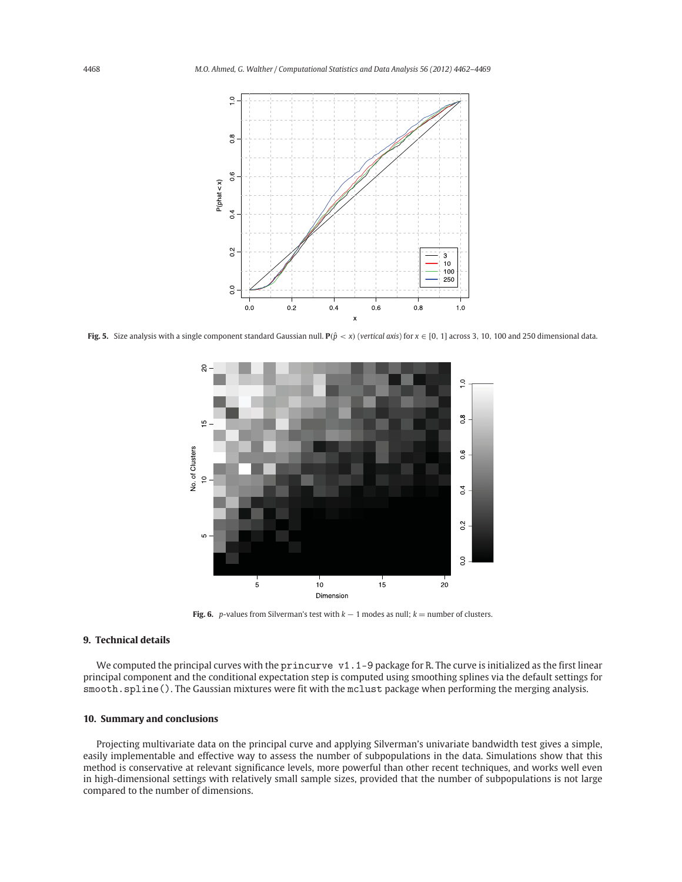

**Fig. 5.** Size analysis with a single component standard Gaussian null.  $P(\hat{p} < x)$  (*vertical axis*) for  $x \in [0, 1]$  across 3, 10, 100 and 250 dimensional data.



**Fig. 6.** *p*-values from Silverman's test with  $k - 1$  modes as null;  $k =$  number of clusters.

### **9. Technical details**

We computed the principal curves with the princurve v1.1-9 package for R. The curve is initialized as the first linear principal component and the conditional expectation step is computed using smoothing splines via the default settings for smooth.spline(). The Gaussian mixtures were fit with the mclust package when performing the merging analysis.

#### **10. Summary and conclusions**

Projecting multivariate data on the principal curve and applying Silverman's univariate bandwidth test gives a simple, easily implementable and effective way to assess the number of subpopulations in the data. Simulations show that this method is conservative at relevant significance levels, more powerful than other recent techniques, and works well even in high-dimensional settings with relatively small sample sizes, provided that the number of subpopulations is not large compared to the number of dimensions.